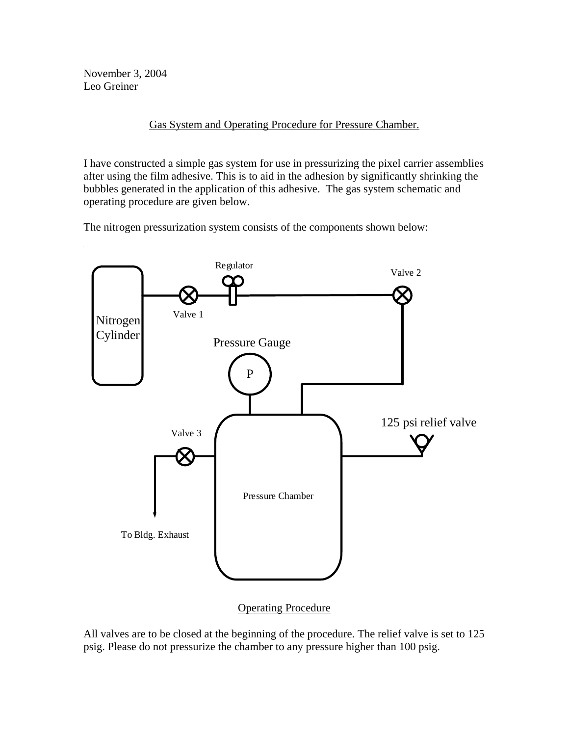November 3, 2004 Leo Greiner

Gas System and Operating Procedure for Pressure Chamber.

I have constructed a simple gas system for use in pressurizing the pixel carrier assemblies after using the film adhesive. This is to aid in the adhesion by significantly shrinking the bubbles generated in the application of this adhesive. The gas system schematic and operating procedure are given below.

The nitrogen pressurization system consists of the components shown below:



Operating Procedure

All valves are to be closed at the beginning of the procedure. The relief valve is set to 125 psig. Please do not pressurize the chamber to any pressure higher than 100 psig.